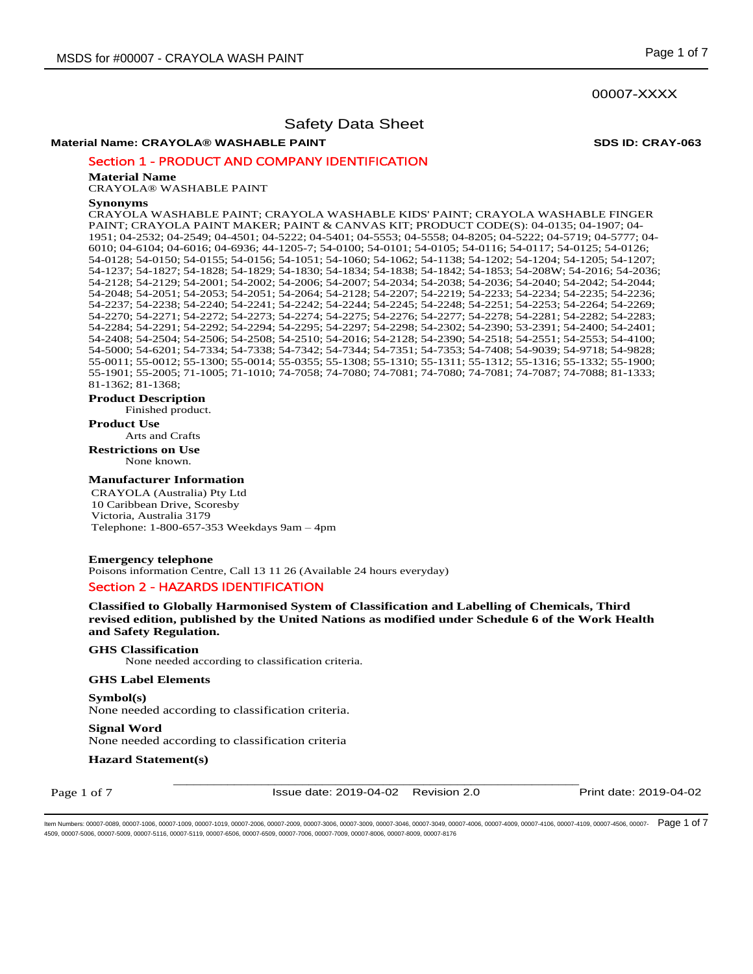# 00007-XXXX

# Safety Data Sheet

# **Material Name: CRAYOLA® WASHABLE PAINT SDS ID: CRAY-063**

Section 1 - PRODUCT AND COMPANY IDENTIFICATION

#### **Material Name**

CRAYOLA® WASHABLE PAINT

#### **Synonyms**

CRAYOLA WASHABLE PAINT; CRAYOLA WASHABLE KIDS' PAINT; CRAYOLA WASHABLE FINGER PAINT; CRAYOLA PAINT MAKER; PAINT & CANVAS KIT; PRODUCT CODE(S): 04-0135; 04-1907; 04- 1951; 04-2532; 04-2549; 04-4501; 04-5222; 04-5401; 04-5553; 04-5558; 04-8205; 04-5222; 04-5719; 04-5777; 04- 6010; 04-6104; 04-6016; 04-6936; 44-1205-7; 54-0100; 54-0101; 54-0105; 54-0116; 54-0117; 54-0125; 54-0126; 54-0128; 54-0150; 54-0155; 54-0156; 54-1051; 54-1060; 54-1062; 54-1138; 54-1202; 54-1204; 54-1205; 54-1207; 54-1237; 54-1827; 54-1828; 54-1829; 54-1830; 54-1834; 54-1838; 54-1842; 54-1853; 54-208W; 54-2016; 54-2036; 54-2128; 54-2129; 54-2001; 54-2002; 54-2006; 54-2007; 54-2034; 54-2038; 54-2036; 54-2040; 54-2042; 54-2044; 54-2048; 54-2051; 54-2053; 54-2051; 54-2064; 54-2128; 54-2207; 54-2219; 54-2233; 54-2234; 54-2235; 54-2236; 54-2237; 54-2238; 54-2240; 54-2241; 54-2242; 54-2244; 54-2245; 54-2248; 54-2251; 54-2253; 54-2264; 54-2269; 54-2270; 54-2271; 54-2272; 54-2273; 54-2274; 54-2275; 54-2276; 54-2277; 54-2278; 54-2281; 54-2282; 54-2283; 54-2284; 54-2291; 54-2292; 54-2294; 54-2295; 54-2297; 54-2298; 54-2302; 54-2390; 53-2391; 54-2400; 54-2401; 54-2408; 54-2504; 54-2506; 54-2508; 54-2510; 54-2016; 54-2128; 54-2390; 54-2518; 54-2551; 54-2553; 54-4100; 54-5000; 54-6201; 54-7334; 54-7338; 54-7342; 54-7344; 54-7351; 54-7353; 54-7408; 54-9039; 54-9718; 54-9828; 55-0011; 55-0012; 55-1300; 55-0014; 55-0355; 55-1308; 55-1310; 55-1311; 55-1312; 55-1316; 55-1332; 55-1900; 55-1901; 55-2005; 71-1005; 71-1010; 74-7058; 74-7080; 74-7081; 74-7080; 74-7081; 74-7087; 74-7088; 81-1333; 81-1362; 81-1368;

#### **Product Description**

Finished product.

**Product Use**

Arts and Crafts

**Restrictions on Use** None known.

#### **Manufacturer Information**

CRAYOLA (Australia) Pty Ltd 10 Caribbean Drive, Scoresby Victoria, Australia 3179 Telephone: 1-800-657-353 Weekdays 9am – 4pm

#### **Emergency telephone**

Poisons information Centre, Call 13 11 26 (Available 24 hours everyday)

# Section 2 - HAZARDS IDENTIFICATION

**Classified to Globally Harmonised System of Classification and Labelling of Chemicals, Third revised edition, published by the United Nations as modified under Schedule 6 of the Work Health and Safety Regulation.** 

#### **GHS Classification**

None needed according to classification criteria.

#### **GHS Label Elements**

**Symbol(s)**  None needed according to classification criteria.

**Signal Word**  None needed according to classification criteria

**Hazard Statement(s)** 

Page 1 of 7

\_\_\_\_\_\_\_\_\_\_\_\_\_\_\_\_\_\_\_\_\_\_\_\_\_\_\_\_\_\_\_\_\_\_\_\_\_\_\_\_\_\_\_\_\_\_\_\_\_\_\_\_\_\_\_\_\_\_\_\_ Issue date: 2019-04-02 Revision 2.0 Print date: 2019-04-02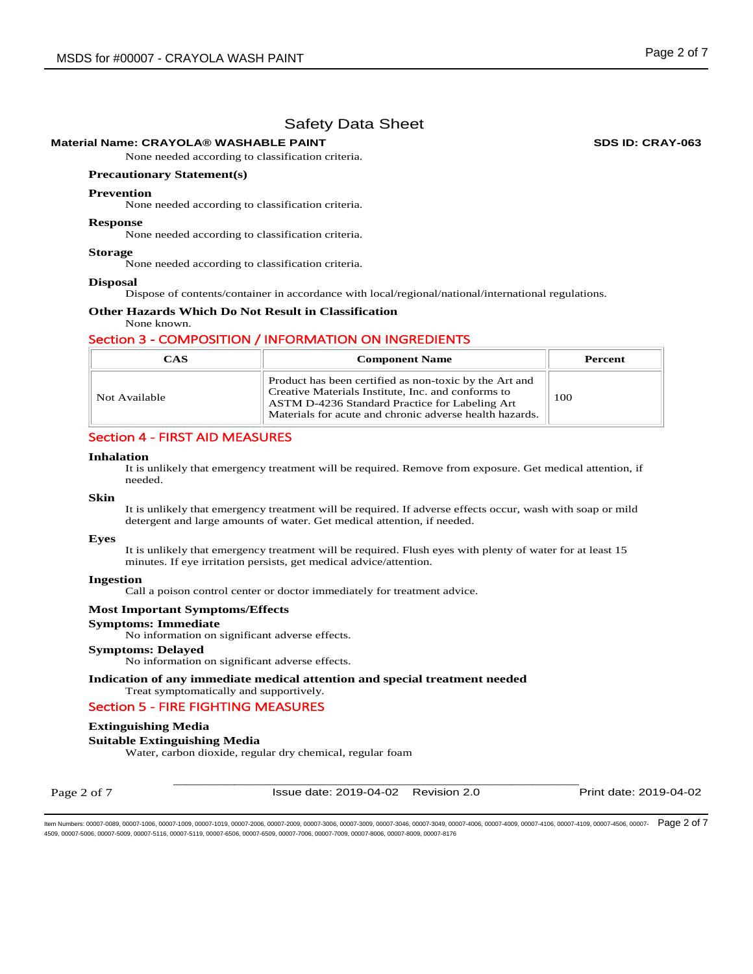# **Material Name: CRAYOLA® WASHABLE PAINT SDS ID: CRAY-063**

None needed according to classification criteria.

#### **Precautionary Statement(s)**

#### **Prevention**

None needed according to classification criteria.

#### **Response**

None needed according to classification criteria.

#### **Storage**

None needed according to classification criteria.

#### **Disposal**

Dispose of contents/container in accordance with local/regional/national/international regulations.

# **Other Hazards Which Do Not Result in Classification**

# None known.

# Section 3 - COMPOSITION / INFORMATION ON INGREDIENTS

| <b>CAS</b>    | <b>Component Name</b>                                                                                                                                                                                                     | Percent |
|---------------|---------------------------------------------------------------------------------------------------------------------------------------------------------------------------------------------------------------------------|---------|
| Not Available | Product has been certified as non-toxic by the Art and<br>Creative Materials Institute, Inc. and conforms to<br>ASTM D-4236 Standard Practice for Labeling Art<br>Materials for acute and chronic adverse health hazards. | 100     |

# Section 4 - FIRST AID MEASURES

#### **Inhalation**

It is unlikely that emergency treatment will be required. Remove from exposure. Get medical attention, if needed.

#### **Skin**

It is unlikely that emergency treatment will be required. If adverse effects occur, wash with soap or mild detergent and large amounts of water. Get medical attention, if needed.

### **Eyes**

It is unlikely that emergency treatment will be required. Flush eyes with plenty of water for at least 15 minutes. If eye irritation persists, get medical advice/attention.

#### **Ingestion**

Call a poison control center or doctor immediately for treatment advice.

#### **Most Important Symptoms/Effects**

#### **Symptoms: Immediate**

No information on significant adverse effects.

#### **Symptoms: Delayed**

No information on significant adverse effects.

## **Indication of any immediate medical attention and special treatment needed**  Treat symptomatically and supportively.

# Section 5 - FIRE FIGHTING MEASURES

## **Extinguishing Media**

## **Suitable Extinguishing Media**

Water, carbon dioxide, regular dry chemical, regular foam

Page 2 of 7

\_\_\_\_\_\_\_\_\_\_\_\_\_\_\_\_\_\_\_\_\_\_\_\_\_\_\_\_\_\_\_\_\_\_\_\_\_\_\_\_\_\_\_\_\_\_\_\_\_\_\_\_\_\_\_\_\_\_\_\_ Issue date: 2019-04-02 Revision 2.0 Print date: 2019-04-02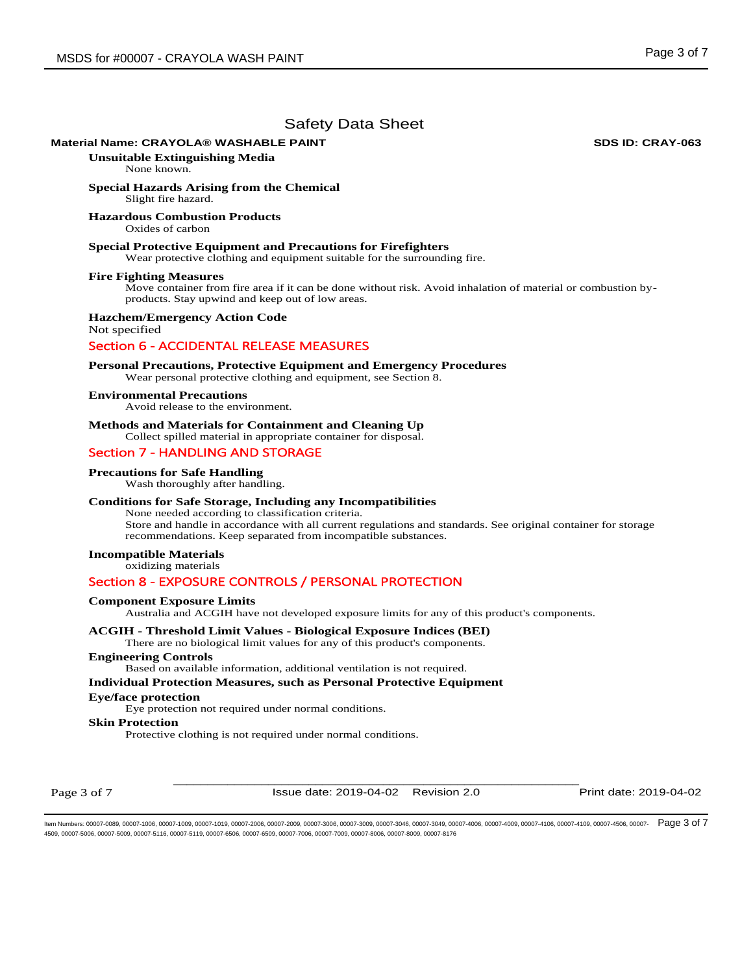# **Material Name: CRAYOLA® WASHABLE PAINT SDS ID: CRAY-063**

**Unsuitable Extinguishing Media**

None known.

**Special Hazards Arising from the Chemical**  Slight fire hazard.

#### **Hazardous Combustion Products**

Oxides of carbon

#### **Special Protective Equipment and Precautions for Firefighters**

Wear protective clothing and equipment suitable for the surrounding fire.

#### **Fire Fighting Measures**

Move container from fire area if it can be done without risk. Avoid inhalation of material or combustion byproducts. Stay upwind and keep out of low areas.

#### **Hazchem/Emergency Action Code**

Not specified

# Section 6 - ACCIDENTAL RELEASE MEASURES

### **Personal Precautions, Protective Equipment and Emergency Procedures**

Wear personal protective clothing and equipment, see Section 8.

#### **Environmental Precautions**

Avoid release to the environment.

# **Methods and Materials for Containment and Cleaning Up**

Collect spilled material in appropriate container for disposal.

# Section 7 - HANDLING AND STORAGE

#### **Precautions for Safe Handling**

Wash thoroughly after handling.

# **Conditions for Safe Storage, Including any Incompatibilities**

None needed according to classification criteria. Store and handle in accordance with all current regulations and standards. See original container for storage recommendations. Keep separated from incompatible substances.

# **Incompatible Materials**

oxidizing materials

# Section 8 - EXPOSURE CONTROLS / PERSONAL PROTECTION

#### **Component Exposure Limits**

Australia and ACGIH have not developed exposure limits for any of this product's components.

# **ACGIH - Threshold Limit Values - Biological Exposure Indices (BEI)**

There are no biological limit values for any of this product's components.

# **Engineering Controls**

Based on available information, additional ventilation is not required.

# **Individual Protection Measures, such as Personal Protective Equipment**

# **Eye/face protection**

Eye protection not required under normal conditions.

### **Skin Protection**

Protective clothing is not required under normal conditions.

Page 3 of 7

\_\_\_\_\_\_\_\_\_\_\_\_\_\_\_\_\_\_\_\_\_\_\_\_\_\_\_\_\_\_\_\_\_\_\_\_\_\_\_\_\_\_\_\_\_\_\_\_\_\_\_\_\_\_\_\_\_\_\_\_ Issue date: 2019-04-02 Revision 2.0 Print date: 2019-04-02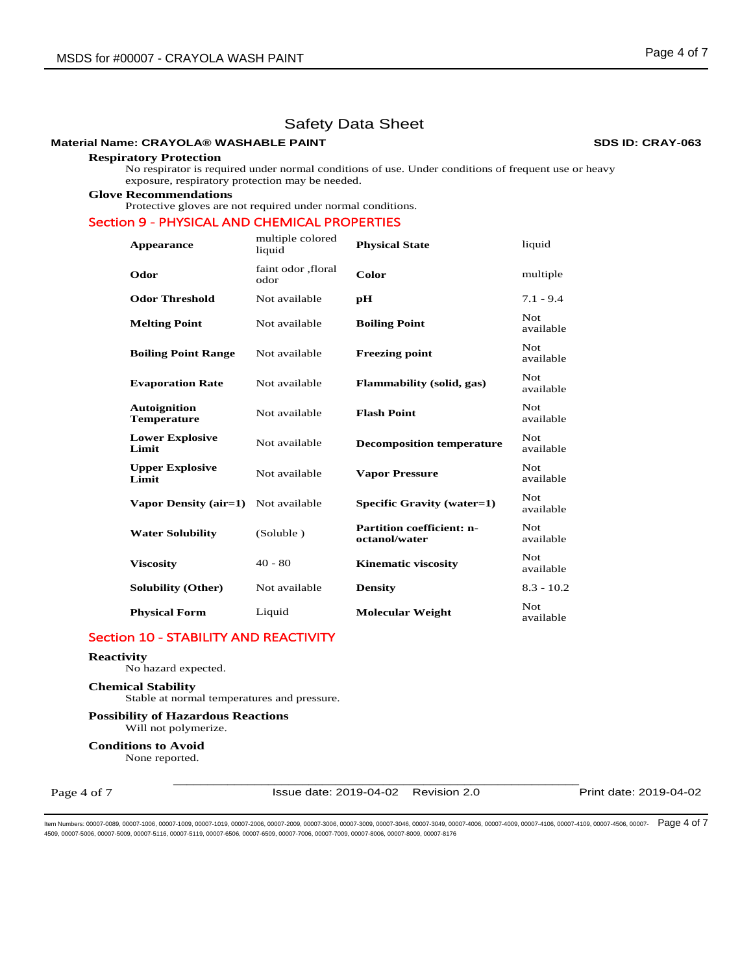# **Material Name: CRAYOLA® WASHABLE PAINT SDS ID: CRAY-063**

#### **Respiratory Protection**

No respirator is required under normal conditions of use. Under conditions of frequent use or heavy exposure, respiratory protection may be needed.

**Glove Recommendations**

Protective gloves are not required under normal conditions.

# Section 9 - PHYSICAL AND CHEMICAL PROPERTIES

| Appearance                                | multiple colored<br>liquid  | <b>Physical State</b>                             | liquid            |
|-------------------------------------------|-----------------------------|---------------------------------------------------|-------------------|
| Odor                                      | faint odor , floral<br>odor | Color                                             | multiple          |
| <b>Odor Threshold</b>                     | Not available               | рH                                                | $7.1 - 9.4$       |
| <b>Melting Point</b>                      | Not available               | <b>Boiling Point</b>                              | Not<br>available  |
| <b>Boiling Point Range</b>                | Not available               | <b>Freezing point</b>                             | Not<br>available  |
| <b>Evaporation Rate</b>                   | Not available               | <b>Flammability (solid, gas)</b>                  | Not<br>available  |
| <b>Autoignition</b><br><b>Temperature</b> | Not available               | <b>Flash Point</b>                                | Not.<br>available |
| <b>Lower Explosive</b><br>Limit           | Not available               | <b>Decomposition temperature</b>                  | Not.<br>available |
| <b>Upper Explosive</b><br>Limit           | Not available               | <b>Vapor Pressure</b>                             | Not.<br>available |
| Vapor Density (air=1)                     | Not available               | Specific Gravity (water=1)                        | Not.<br>available |
| <b>Water Solubility</b>                   | (Soluble)                   | <b>Partition coefficient: n-</b><br>octanol/water | Not.<br>available |
| <b>Viscosity</b>                          | $40 - 80$                   | <b>Kinematic viscosity</b>                        | Not.<br>available |
| <b>Solubility (Other)</b>                 | Not available               | <b>Density</b>                                    | $8.3 - 10.2$      |
| <b>Physical Form</b>                      | Liquid                      | <b>Molecular Weight</b>                           | Not<br>available  |

# Section 10 - STABILITY AND REACTIVITY

# **Reactivity**

No hazard expected.

#### **Chemical Stability**

Stable at normal temperatures and pressure.

#### **Possibility of Hazardous Reactions** Will not polymerize.

**Conditions to Avoid** None reported.

Page 4 of 7

\_\_\_\_\_\_\_\_\_\_\_\_\_\_\_\_\_\_\_\_\_\_\_\_\_\_\_\_\_\_\_\_\_\_\_\_\_\_\_\_\_\_\_\_\_\_\_\_\_\_\_\_\_\_\_\_\_\_\_\_ Issue date: 2019-04-02 Revision 2.0 Print date: 2019-04-02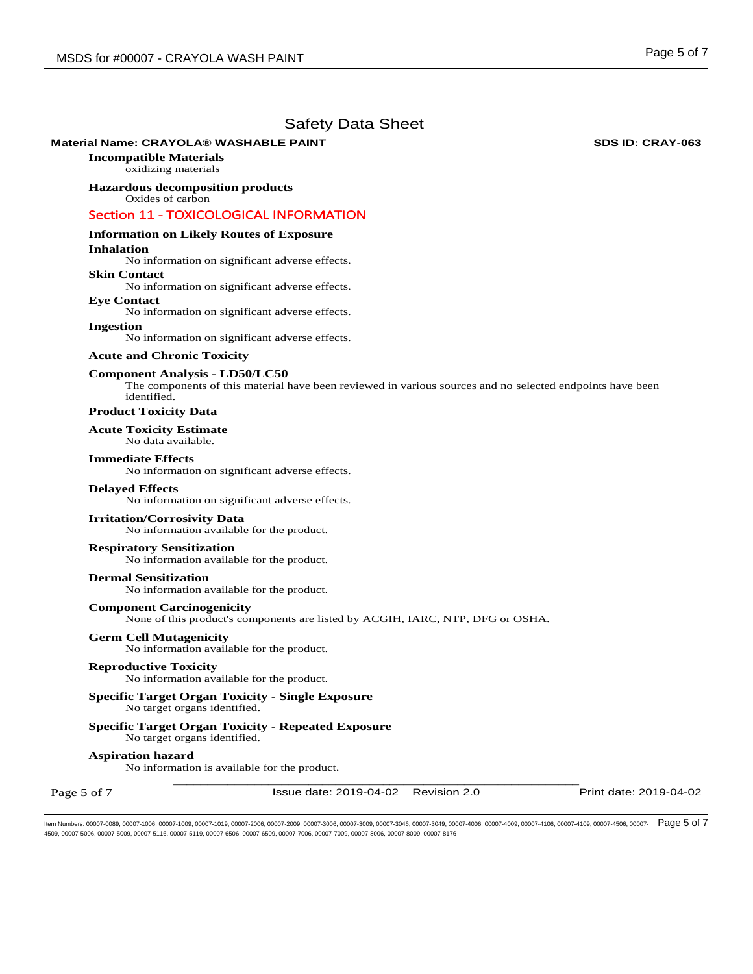# **Material Name: CRAYOLA® WASHABLE PAINT SDS ID: CRAY-063**

**Incompatible Materials**

oxidizing materials

#### **Hazardous decomposition products**  Oxides of carbon

# Section 11 - TOXICOLOGICAL INFORMATION

# **Information on Likely Routes of Exposure**

#### **Inhalation**

No information on significant adverse effects.

# **Skin Contact**

No information on significant adverse effects.

#### **Eye Contact**

No information on significant adverse effects.

#### **Ingestion**

No information on significant adverse effects.

# **Acute and Chronic Toxicity**

## **Component Analysis - LD50/LC50**

The components of this material have been reviewed in various sources and no selected endpoints have been identified.

# **Product Toxicity Data**

# **Acute Toxicity Estimate**

No data available.

# **Immediate Effects**

No information on significant adverse effects.

#### **Delayed Effects**

No information on significant adverse effects.

## **Irritation/Corrosivity Data**

No information available for the product.

## **Respiratory Sensitization**

No information available for the product.

#### **Dermal Sensitization**

No information available for the product.

#### **Component Carcinogenicity**

None of this product's components are listed by ACGIH, IARC, NTP, DFG or OSHA.

**Germ Cell Mutagenicity**  No information available for the product.

#### **Reproductive Toxicity**

No information available for the product.

# **Specific Target Organ Toxicity - Single Exposure**

No target organs identified.

# **Specific Target Organ Toxicity - Repeated Exposure**

No target organs identified.

# **Aspiration hazard**

\_\_\_\_\_\_\_\_\_\_\_\_\_\_\_\_\_\_\_\_\_\_\_\_\_\_\_\_\_\_\_\_\_\_\_\_\_\_\_\_\_\_\_\_\_\_\_\_\_\_\_\_\_\_\_\_\_\_\_\_ No information is available for the product.

Page 5 of 7

Issue date: 2019-04-02 Revision 2.0 Print date: 2019-04-02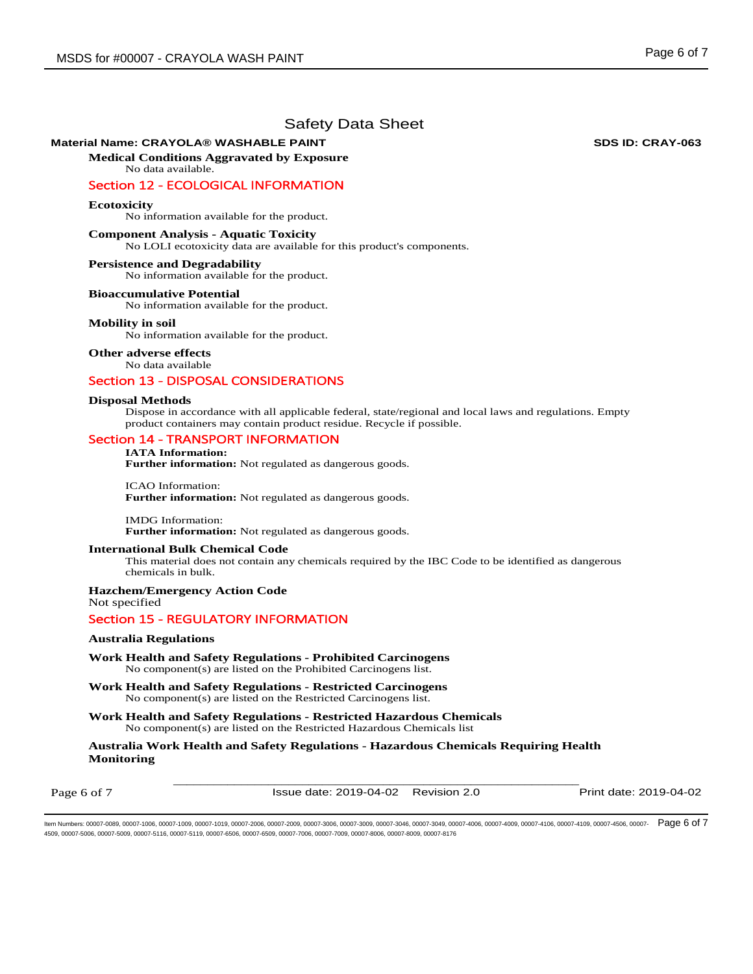# **Material Name: CRAYOLA® WASHABLE PAINT SDS ID: CRAY-063**

**Medical Conditions Aggravated by Exposure** No data available.

# Section 12 - ECOLOGICAL INFORMATION

### **Ecotoxicity**

No information available for the product.

### **Component Analysis - Aquatic Toxicity**

No LOLI ecotoxicity data are available for this product's components.

#### **Persistence and Degradability**

No information available for the product.

#### **Bioaccumulative Potential**

No information available for the product.

#### **Mobility in soil**

No information available for the product.

**Other adverse effects** 

No data available

# Section 13 - DISPOSAL CONSIDERATIONS

#### **Disposal Methods**

Dispose in accordance with all applicable federal, state/regional and local laws and regulations. Empty product containers may contain product residue. Recycle if possible.

# Section 14 - TRANSPORT INFORMATION

# **IATA Information:**

**Further information:** Not regulated as dangerous goods.

ICAO Information: **Further information:** Not regulated as dangerous goods.

IMDG Information: **Further information:** Not regulated as dangerous goods.

#### **International Bulk Chemical Code**

This material does not contain any chemicals required by the IBC Code to be identified as dangerous chemicals in bulk.

# **Hazchem/Emergency Action Code**

Not specified

# Section 15 - REGULATORY INFORMATION

# **Australia Regulations**

**Work Health and Safety Regulations - Prohibited Carcinogens**  No component(s) are listed on the Prohibited Carcinogens list.

**Work Health and Safety Regulations - Restricted Carcinogens**  No component(s) are listed on the Restricted Carcinogens list.

**Work Health and Safety Regulations - Restricted Hazardous Chemicals**  No component(s) are listed on the Restricted Hazardous Chemicals list

**Australia Work Health and Safety Regulations - Hazardous Chemicals Requiring Health Monitoring** 

Page 6 of 7

\_\_\_\_\_\_\_\_\_\_\_\_\_\_\_\_\_\_\_\_\_\_\_\_\_\_\_\_\_\_\_\_\_\_\_\_\_\_\_\_\_\_\_\_\_\_\_\_\_\_\_\_\_\_\_\_\_\_\_\_ Issue date: 2019-04-02 Revision 2.0 Print date: 2019-04-02